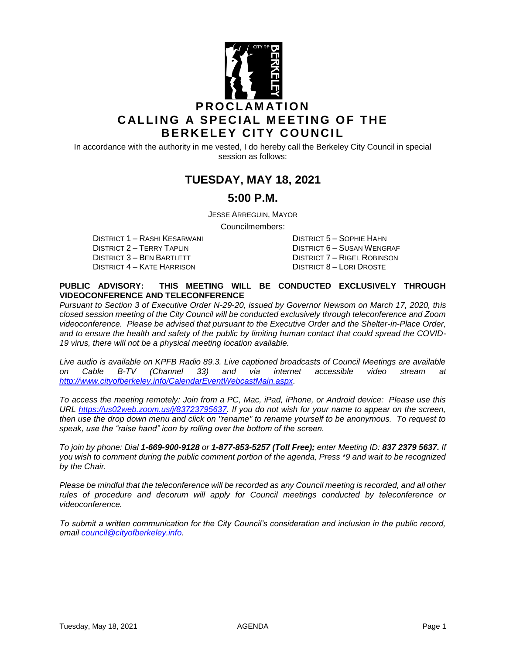

In accordance with the authority in me vested, I do hereby call the Berkeley City Council in special session as follows:

# **TUESDAY, MAY 18, 2021**

### **5:00 P.M.**

JESSE ARREGUIN, MAYOR

Councilmembers:

DISTRICT 1 – RASHI KESARWANI DISTRICT 5 – SOPHIE HAHN DISTRICT 3 – BEN BARTLETT DISTRICT 7 – RIGEL ROBINSON DISTRICT 4 – KATE HARRISON DISTRICT 8 – LORI DROSTE

DISTRICT 6 – SUSAN WENGRAF

#### **PUBLIC ADVISORY: THIS MEETING WILL BE CONDUCTED EXCLUSIVELY THROUGH VIDEOCONFERENCE AND TELECONFERENCE**

*Pursuant to Section 3 of Executive Order N-29-20, issued by Governor Newsom on March 17, 2020, this closed session meeting of the City Council will be conducted exclusively through teleconference and Zoom videoconference. Please be advised that pursuant to the Executive Order and the Shelter-in-Place Order, and to ensure the health and safety of the public by limiting human contact that could spread the COVID-19 virus, there will not be a physical meeting location available.* 

*Live audio is available on KPFB Radio 89.3. Live captioned broadcasts of Council Meetings are available on Cable B-TV (Channel 33) and via internet accessible video stream at [http://www.cityofberkeley.info/CalendarEventWebcastMain.aspx.](http://www.cityofberkeley.info/CalendarEventWebcastMain.aspx)*

*To access the meeting remotely: Join from a PC, Mac, iPad, iPhone, or Android device: Please use this URL [https://us02web.zoom.us/j/83723795637.](https://us02web.zoom.us/j/83723795637) If you do not wish for your name to appear on the screen, then use the drop down menu and click on "rename" to rename yourself to be anonymous. To request to speak, use the "raise hand" icon by rolling over the bottom of the screen.* 

*To join by phone: Dial 1-669-900-9128 or 1-877-853-5257 (Toll Free); enter Meeting ID: 837 2379 5637. If you wish to comment during the public comment portion of the agenda, Press \*9 and wait to be recognized by the Chair.*

*Please be mindful that the teleconference will be recorded as any Council meeting is recorded, and all other*  rules of procedure and decorum will apply for Council meetings conducted by teleconference or *videoconference.*

*To submit a written communication for the City Council's consideration and inclusion in the public record, email [council@cityofberkeley.info.](mailto:council@cityofberkeley.info)*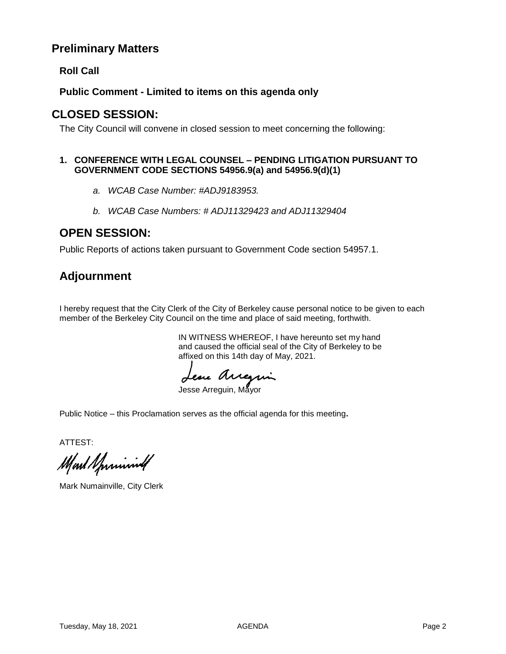## **Preliminary Matters**

**Roll Call**

**Public Comment - Limited to items on this agenda only**

## **CLOSED SESSION:**

The City Council will convene in closed session to meet concerning the following:

#### **1. CONFERENCE WITH LEGAL COUNSEL – PENDING LITIGATION PURSUANT TO GOVERNMENT CODE SECTIONS 54956.9(a) and 54956.9(d)(1)**

- *a. WCAB Case Number: #ADJ9183953.*
- *b. WCAB Case Numbers: # ADJ11329423 and ADJ11329404*

# **OPEN SESSION:**

Public Reports of actions taken pursuant to Government Code section 54957.1.

# **Adjournment**

I hereby request that the City Clerk of the City of Berkeley cause personal notice to be given to each member of the Berkeley City Council on the time and place of said meeting, forthwith.

> IN WITNESS WHEREOF, I have hereunto set my hand and caused the official seal of the City of Berkeley to be affixed on this 14th day of May, 2021.

Jesse Aureguin

Public Notice – this Proclamation serves as the official agenda for this meeting**.**

ATTEST:

Mart Sprinning

Mark Numainville, City Clerk